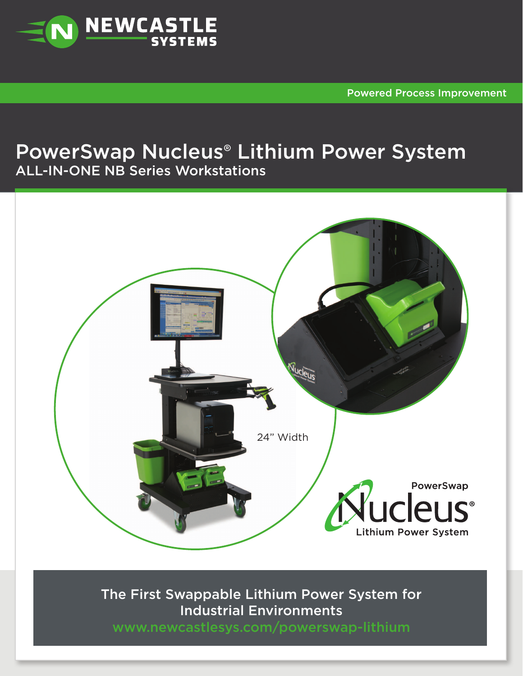

Powered Process Improvement

## PowerSwap Nucleus® Lithium Power System ALL-IN-ONE NB Series Workstations



The First Swappable Lithium Power System for Industrial Environments

www.newcastlesys.com/powerswap-lithium